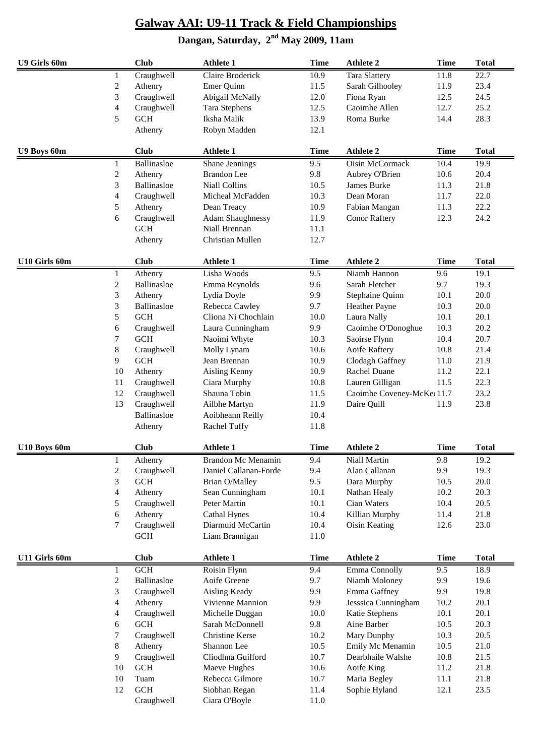| U9 Girls 60m  |                | <b>Club</b> | <b>Athlete 1</b>        | <b>Time</b> | <b>Athlete 2</b>          | <b>Time</b> | <b>Total</b> |
|---------------|----------------|-------------|-------------------------|-------------|---------------------------|-------------|--------------|
|               | 1              | Craughwell  | Claire Broderick        | 10.9        | <b>Tara Slattery</b>      | 11.8        | 22.7         |
|               | $\overline{c}$ | Athenry     | Emer Quinn              | 11.5        | Sarah Gilhooley           | 11.9        | 23.4         |
|               | 3              | Craughwell  | Abigail McNally         | 12.0        | Fiona Ryan                | 12.5        | 24.5         |
|               | 4              | Craughwell  | <b>Tara Stephens</b>    | 12.5        | Caoimhe Allen             | 12.7        | 25.2         |
|               | 5              | $GCH$       | Iksha Malik             | 13.9        | Roma Burke                | 14.4        | 28.3         |
|               |                | Athenry     | Robyn Madden            | 12.1        |                           |             |              |
| U9 Boys 60m   |                | <b>Club</b> | <b>Athlete 1</b>        | <b>Time</b> | <b>Athlete 2</b>          | <b>Time</b> | <b>Total</b> |
|               | 1              | Ballinasloe | Shane Jennings          | 9.5         | Oisin McCormack           | 10.4        | 19.9         |
|               | $\overline{c}$ | Athenry     | <b>Brandon</b> Lee      | 9.8         | Aubrey O'Brien            | 10.6        | 20.4         |
|               | 3              | Ballinasloe | <b>Niall Collins</b>    | 10.5        | James Burke               | 11.3        | 21.8         |
|               | 4              | Craughwell  | Micheal McFadden        | 10.3        | Dean Moran                | 11.7        | 22.0         |
|               | 5              | Athenry     | Dean Treacy             | 10.9        | Fabian Mangan             | 11.3        | 22.2         |
|               | 6              | Craughwell  | <b>Adam Shaughnessy</b> | 11.9        | <b>Conor Raftery</b>      | 12.3        | 24.2         |
|               |                | <b>GCH</b>  | Niall Brennan           | 11.1        |                           |             |              |
|               |                | Athenry     | Christian Mullen        | 12.7        |                           |             |              |
| U10 Girls 60m |                | <b>Club</b> | <b>Athlete 1</b>        | <b>Time</b> | <b>Athlete 2</b>          | <b>Time</b> | <b>Total</b> |
|               | 1              | Athenry     | Lisha Woods             | 9.5         | Niamh Hannon              | 9.6         | 19.1         |
|               | $\overline{c}$ | Ballinasloe | Emma Reynolds           | 9.6         | Sarah Fletcher            | 9.7         | 19.3         |
|               | 3              | Athenry     | Lydia Doyle             | 9.9         | Stephaine Quinn           | 10.1        | 20.0         |
|               | 3              | Ballinasloe | Rebecca Cawley          | 9.7         | Heather Payne             | 10.3        | 20.0         |
|               | 5              | <b>GCH</b>  | Cliona Ni Chochlain     | 10.0        | Laura Nally               | 10.1        | 20.1         |
|               | 6              | Craughwell  | Laura Cunningham        | 9.9         | Caoimhe O'Donoghue        | 10.3        | 20.2         |
|               | 7              | <b>GCH</b>  | Naoimi Whyte            | 10.3        | Saoirse Flynn             | 10.4        | 20.7         |
|               | 8              | Craughwell  | Molly Lynam             | 10.6        | Aoife Raftery             | 10.8        | 21.4         |
|               | 9              | <b>GCH</b>  | Jean Brennan            | 10.9        | Clodagh Gaffney           | 11.0        | 21.9         |
|               | 10             | Athenry     | Aisling Kenny           | 10.9        | Rachel Duane              | 11.2        | 22.1         |
|               | 11             | Craughwell  | Ciara Murphy            | 10.8        | Lauren Gilligan           | 11.5        | 22.3         |
|               | 12             | Craughwell  | Shauna Tobin            | 11.5        | Caoimhe Coveney-McKe(11.7 |             | 23.2         |
|               | 13             | Craughwell  | Ailbhe Martyn           | 11.9        | Daire Quill               | 11.9        | 23.8         |
|               |                | Ballinasloe | Aoibheann Reilly        | 10.4        |                           |             |              |
|               |                | Athenry     | Rachel Tuffy            | 11.8        |                           |             |              |
| U10 Boys 60m  |                | <b>Club</b> | <b>Athlete 1</b>        | <b>Time</b> | <b>Athlete 2</b>          | <b>Time</b> | <b>Total</b> |
|               | 1              | Athenry     | Brandon Mc Menamin      | 9.4         | Niall Martin              | 9.8         | 19.2         |
|               | $\overline{c}$ | Craughwell  | Daniel Callanan-Forde   | 9.4         | Alan Callanan             | 9.9         | 19.3         |
|               | 3              | <b>GCH</b>  | Brian O/Malley          | 9.5         | Dara Murphy               | 10.5        | 20.0         |
|               | 4              | Athenry     | Sean Cunningham         | 10.1        | Nathan Healy              | 10.2        | 20.3         |
|               | 5              | Craughwell  | Peter Martin            | 10.1        | Cian Waters               | 10.4        | 20.5         |
|               | 6              | Athenry     | <b>Cathal Hynes</b>     | 10.4        | Killian Murphy            | 11.4        | 21.8         |
|               | 7              | Craughwell  | Diarmuid McCartin       | 10.4        | <b>Oisin Keating</b>      | 12.6        | 23.0         |
|               |                | <b>GCH</b>  | Liam Brannigan          | 11.0        |                           |             |              |
| U11 Girls 60m |                | <b>Club</b> | <b>Athlete 1</b>        | <b>Time</b> | <b>Athlete 2</b>          | <b>Time</b> | <b>Total</b> |
|               | 1              | GCH         | Roisin Flynn            | 9.4         | Emma Connolly             | 9.5         | 18.9         |
|               | $\overline{c}$ | Ballinasloe | Aoife Greene            | 9.7         | Niamh Moloney             | 9.9         | 19.6         |
|               | 3              | Craughwell  | Aisling Keady           | 9.9         | Emma Gaffney              | 9.9         | 19.8         |
|               | 4              | Athenry     | Vivienne Mannion        | 9.9         | Jesssica Cunningham       | 10.2        | 20.1         |
|               | 4              | Craughwell  | Michelle Duggan         | 10.0        | Katie Stephens            | 10.1        | 20.1         |
|               | 6              | <b>GCH</b>  | Sarah McDonnell         | 9.8         | Aine Barber               | 10.5        | 20.3         |
|               | 7              | Craughwell  | <b>Christine Kerse</b>  | 10.2        | Mary Dunphy               | 10.3        | 20.5         |
|               | 8              | Athenry     | Shannon Lee             | 10.5        | Emily Mc Menamin          | 10.5        | 21.0         |
|               | 9              | Craughwell  | Cliodhna Guilford       | 10.7        | Dearbhaile Walshe         | 10.8        | 21.5         |
|               | 10             | <b>GCH</b>  | Maeve Hughes            | 10.6        | Aoife King                | 11.2        | 21.8         |
|               | 10             | Tuam        | Rebecca Gilmore         | 10.7        | Maria Begley              | 11.1        | 21.8         |
|               | 12             | <b>GCH</b>  | Siobhan Regan           | 11.4        | Sophie Hyland             | 12.1        | 23.5         |
|               |                | Craughwell  | Ciara O'Boyle           | 11.0        |                           |             |              |
|               |                |             |                         |             |                           |             |              |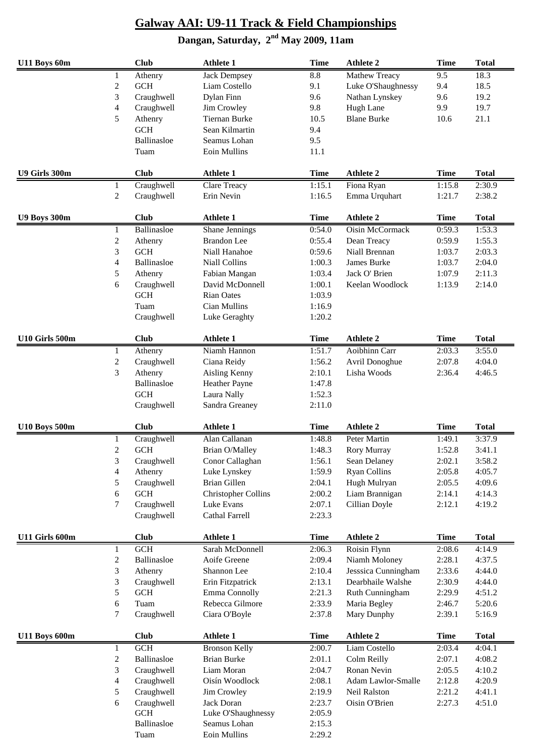| U11 Boys 60m         |                         | <b>Club</b> | <b>Athlete 1</b>           | <b>Time</b> | <b>Athlete 2</b>    | <b>Time</b>      | <b>Total</b> |
|----------------------|-------------------------|-------------|----------------------------|-------------|---------------------|------------------|--------------|
|                      | 1                       | Athenry     | Jack Dempsey               | 8.8         | Mathew Treacy       | $\overline{9.5}$ | 18.3         |
|                      | $\boldsymbol{2}$        | <b>GCH</b>  | Liam Costello              | 9.1         | Luke O'Shaughnessy  | 9.4              | 18.5         |
|                      | 3                       | Craughwell  | Dylan Finn                 | 9.6         | Nathan Lynskey      | 9.6              | 19.2         |
|                      | 4                       | Craughwell  | Jim Crowley                | 9.8         | Hugh Lane           | 9.9              | 19.7         |
|                      | 5                       | Athenry     | <b>Tiernan Burke</b>       | 10.5        | <b>Blane Burke</b>  | 10.6             | 21.1         |
|                      |                         | <b>GCH</b>  | Sean Kilmartin             | 9.4         |                     |                  |              |
|                      |                         | Ballinasloe | Seamus Lohan               | 9.5         |                     |                  |              |
|                      |                         | Tuam        | <b>Eoin Mullins</b>        | 11.1        |                     |                  |              |
| U9 Girls 300m        |                         | <b>Club</b> | <b>Athlete 1</b>           | <b>Time</b> | <b>Athlete 2</b>    | <b>Time</b>      | <b>Total</b> |
|                      | 1                       | Craughwell  | Clare Treacy               | 1:15.1      | Fiona Ryan          | 1:15.8           | 2:30.9       |
|                      | $\overline{c}$          | Craughwell  | Erin Nevin                 | 1:16.5      | Emma Urquhart       | 1:21.7           | 2:38.2       |
| <b>U9 Boys 300m</b>  |                         | <b>Club</b> | <b>Athlete 1</b>           | <b>Time</b> | <b>Athlete 2</b>    | <b>Time</b>      | <b>Total</b> |
|                      | 1                       | Ballinasloe | Shane Jennings             | 0:54.0      | Oisin McCormack     | 0:59.3           | 1:53.3       |
|                      | $\boldsymbol{2}$        | Athenry     | <b>Brandon</b> Lee         | 0:55.4      | Dean Treacy         | 0:59.9           | 1:55.3       |
|                      | 3                       | <b>GCH</b>  | Niall Hanahoe              | 0:59.6      | Niall Brennan       | 1:03.7           | 2:03.3       |
|                      | 4                       | Ballinasloe | Niall Collins              | 1:00.3      | James Burke         | 1:03.7           | 2:04.0       |
|                      | 5                       | Athenry     | Fabian Mangan              | 1:03.4      | Jack O' Brien       | 1:07.9           | 2:11.3       |
|                      | 6                       | Craughwell  | David McDonnell            | 1:00.1      | Keelan Woodlock     | 1:13.9           | 2:14.0       |
|                      |                         | <b>GCH</b>  | <b>Rian Oates</b>          | 1:03.9      |                     |                  |              |
|                      |                         | Tuam        | Cian Mullins               | 1:16.9      |                     |                  |              |
|                      |                         | Craughwell  | Luke Geraghty              | 1:20.2      |                     |                  |              |
| U10 Girls 500m       |                         | <b>Club</b> | <b>Athlete 1</b>           | <b>Time</b> | <b>Athlete 2</b>    | <b>Time</b>      | <b>Total</b> |
|                      | $\mathbf{1}$            | Athenry     | Niamh Hannon               | 1:51.7      | Aoibhinn Carr       | 2:03.3           | 3:55.0       |
|                      | $\overline{\mathbf{c}}$ | Craughwell  | Ciana Reidy                | 1:56.2      | Avril Donoghue      | 2:07.8           | 4:04.0       |
|                      | 3                       | Athenry     | Aisling Kenny              | 2:10.1      | Lisha Woods         | 2:36.4           | 4:46.5       |
|                      |                         | Ballinasloe | <b>Heather Payne</b>       | 1:47.8      |                     |                  |              |
|                      |                         | <b>GCH</b>  | Laura Nally                | 1:52.3      |                     |                  |              |
|                      |                         | Craughwell  | Sandra Greaney             | 2:11.0      |                     |                  |              |
| <b>U10 Boys 500m</b> |                         | <b>Club</b> | <b>Athlete 1</b>           | <b>Time</b> | <b>Athlete 2</b>    | <b>Time</b>      | <b>Total</b> |
|                      | 1                       | Craughwell  | Alan Callanan              | 1:48.8      | Peter Martin        | 1:49.1           | 3:37.9       |
|                      | $\mathbf{2}$            | <b>GCH</b>  | Brian O/Malley             | 1:48.3      | Rory Murray         | 1:52.8           | 3:41.1       |
|                      | 3                       | Craughwell  | Conor Callaghan            | 1:56.1      | Sean Delaney        | 2:02.1           | 3:58.2       |
|                      | 4                       | Athenry     | Luke Lynskey               | 1:59.9      | <b>Ryan Collins</b> | 2:05.8           | 4:05.7       |
|                      | 5                       | Craughwell  | <b>Brian Gillen</b>        | 2:04.1      | Hugh Mulryan        | 2:05.5           | 4:09.6       |
|                      | 6                       | <b>GCH</b>  | <b>Christopher Collins</b> | 2:00.2      | Liam Brannigan      | 2:14.1           | 4:14.3       |
|                      | 7                       | Craughwell  | Luke Evans                 | 2:07.1      | Cillian Doyle       | 2:12.1           | 4:19.2       |
|                      |                         | Craughwell  | Cathal Farrell             | 2:23.3      |                     |                  |              |
| U11 Girls 600m       |                         | <b>Club</b> | <b>Athlete 1</b>           | <b>Time</b> | <b>Athlete 2</b>    | <b>Time</b>      | <b>Total</b> |
|                      | $\mathbf{1}$            | GCH         | Sarah McDonnell            | 2:06.3      | Roisin Flynn        | 2:08.6           | 4:14.9       |
|                      | $\boldsymbol{2}$        | Ballinasloe | Aoife Greene               | 2:09.4      | Niamh Moloney       | 2:28.1           | 4:37.5       |
|                      | 3                       | Athenry     | Shannon Lee                | 2:10.4      | Jesssica Cunningham | 2:33.6           | 4:44.0       |
|                      | 3                       | Craughwell  | Erin Fitzpatrick           | 2:13.1      | Dearbhaile Walshe   | 2:30.9           | 4:44.0       |
|                      | 5                       | <b>GCH</b>  | Emma Connolly              | 2:21.3      | Ruth Cunningham     | 2:29.9           | 4:51.2       |
|                      | 6                       | Tuam        | Rebecca Gilmore            | 2:33.9      | Maria Begley        | 2:46.7           | 5:20.6       |
|                      | 7                       | Craughwell  | Ciara O'Boyle              | 2:37.8      | Mary Dunphy         | 2:39.1           | 5:16.9       |
| <b>U11 Boys 600m</b> |                         | <b>Club</b> | <b>Athlete 1</b>           | <b>Time</b> | <b>Athlete 2</b>    | <b>Time</b>      | <b>Total</b> |
|                      | 1                       | <b>GCH</b>  | <b>Bronson Kelly</b>       | 2:00.7      | Liam Costello       | 2:03.4           | 4:04.1       |
|                      | $\overline{c}$          | Ballinasloe | <b>Brian Burke</b>         | 2:01.1      | Colm Reilly         | 2:07.1           | 4:08.2       |
|                      | 3                       | Craughwell  | Liam Moran                 | 2:04.7      | Ronan Nevin         | 2:05.5           | 4:10.2       |
|                      | 4                       | Craughwell  | Oisín Woodlock             | 2:08.1      | Adam Lawlor-Smalle  | 2:12.8           | 4:20.9       |
|                      | 5                       | Craughwell  | Jim Crowley                | 2:19.9      | Neil Ralston        | 2:21.2           | 4:41.1       |
|                      | 6                       | Craughwell  | Jack Doran                 | 2:23.7      | Oisin O'Brien       | 2:27.3           | 4:51.0       |
|                      |                         | <b>GCH</b>  | Luke O'Shaughnessy         | 2:05.9      |                     |                  |              |
|                      |                         | Ballinasloe | Seamus Lohan               | 2:15.3      |                     |                  |              |
|                      |                         | Tuam        | Eoin Mullins               | 2:29.2      |                     |                  |              |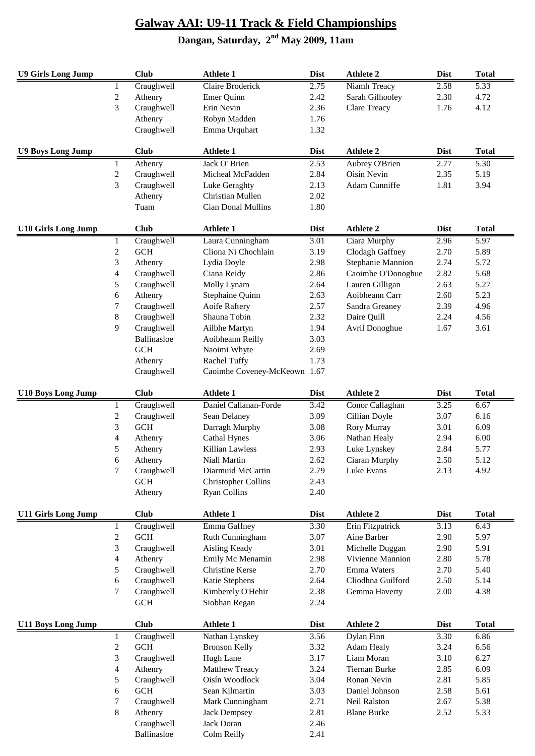| <b>U9 Girls Long Jump</b>  |                  | <b>Club</b>          | <b>Athlete 1</b>             | <b>Dist</b>       | <b>Athlete 2</b>    | <b>Dist</b> | <b>Total</b> |
|----------------------------|------------------|----------------------|------------------------------|-------------------|---------------------|-------------|--------------|
|                            | 1                | Craughwell           | Claire Broderick             | 2.75              | Niamh Treacy        | 2.58        | 5.33         |
|                            | $\sqrt{2}$       | Athenry              | Emer Quinn                   | 2.42              | Sarah Gilhooley     | 2.30        | 4.72         |
|                            | 3                | Craughwell           | Erin Nevin                   | 2.36              | <b>Clare Treacy</b> | 1.76        | 4.12         |
|                            |                  | Athenry              | Robyn Madden                 | 1.76              |                     |             |              |
|                            |                  | Craughwell           | Emma Urquhart                | 1.32              |                     |             |              |
| <b>U9 Boys Long Jump</b>   |                  | <b>Club</b>          | <b>Athlete 1</b>             | <b>Dist</b>       | <b>Athlete 2</b>    | <b>Dist</b> | <b>Total</b> |
|                            | 1                | Athenry              | Jack O' Brien                | 2.53              | Aubrey O'Brien      | 2.77        | 5.30         |
|                            | $\mathbf{2}$     | Craughwell           | Micheal McFadden             | 2.84              | Oisin Nevin         | 2.35        | 5.19         |
|                            | 3                | Craughwell           | Luke Geraghty                | 2.13              | Adam Cunniffe       | 1.81        | 3.94         |
|                            |                  | Athenry              | Christian Mullen             | 2.02              |                     |             |              |
|                            |                  | Tuam                 | Cian Donal Mullins           | 1.80              |                     |             |              |
| <b>U10 Girls Long Jump</b> |                  | <b>Club</b>          | <b>Athlete 1</b>             | <b>Dist</b>       | <b>Athlete 2</b>    | <b>Dist</b> | <b>Total</b> |
|                            | 1                | Craughwell           | Laura Cunningham             | $\overline{3.01}$ | Ciara Murphy        | 2.96        | 5.97         |
|                            | $\boldsymbol{2}$ | <b>GCH</b>           | Cliona Ni Chochlain          | 3.19              | Clodagh Gaffney     | 2.70        | 5.89         |
|                            | 3                | Athenry              | Lydia Doyle                  | 2.98              | Stephanie Mannion   | 2.74        | 5.72         |
|                            | 4                | Craughwell           | Ciana Reidy                  | 2.86              | Caoimhe O'Donoghue  | 2.82        | 5.68         |
|                            | 5                | Craughwell           | Molly Lynam                  | 2.64              | Lauren Gilligan     | 2.63        | 5.27         |
|                            | 6                | Athenry              | Stephaine Quinn              | 2.63              | Aoibheann Carr      | 2.60        | 5.23         |
|                            | 7                | Craughwell           | Aoife Raftery                | 2.57              | Sandra Greaney      | 2.39        | 4.96         |
|                            | $8\,$            | Craughwell           | Shauna Tobin                 | 2.32              | Daire Quill         | 2.24        | 4.56         |
|                            | 9                | Craughwell           | Ailbhe Martyn                | 1.94              | Avril Donoghue      | 1.67        | 3.61         |
|                            |                  | Ballinasloe          | Aoibheann Reilly             | 3.03              |                     |             |              |
|                            |                  | <b>GCH</b>           | Naoimi Whyte                 | 2.69              |                     |             |              |
|                            |                  | Athenry              | Rachel Tuffy                 | 1.73              |                     |             |              |
|                            |                  | Craughwell           | Caoimhe Coveney-McKeown 1.67 |                   |                     |             |              |
| <b>U10 Boys Long Jump</b>  |                  | <b>Club</b>          | <b>Athlete 1</b>             | <b>Dist</b>       | <b>Athlete 2</b>    | <b>Dist</b> | <b>Total</b> |
|                            | 1                | Craughwell           | Daniel Callanan-Forde        | 3.42              | Conor Callaghan     | 3.25        | 6.67         |
|                            | $\boldsymbol{2}$ | Craughwell           | Sean Delaney                 | 3.09              | Cillian Doyle       | 3.07        | 6.16         |
|                            | 3                | <b>GCH</b>           | Darragh Murphy               | 3.08              | Rory Murray         | 3.01        | 6.09         |
|                            | 4                | Athenry              | <b>Cathal Hynes</b>          | 3.06              | Nathan Healy        | 2.94        | 6.00         |
|                            | 5                | Athenry              | <b>Killian Lawless</b>       | 2.93              | Luke Lynskey        | 2.84        | 5.77         |
|                            | 6                | Athenry              | Niall Martin                 | 2.62              | Ciaran Murphy       | 2.50        | 5.12         |
|                            | 7                | Craughwell           | Diarmuid McCartin            | 2.79              | Luke Evans          | 2.13        | 4.92         |
|                            |                  | <b>GCH</b>           | <b>Christopher Collins</b>   | 2.43              |                     |             |              |
|                            |                  | Athenry              | <b>Ryan Collins</b>          | 2.40              |                     |             |              |
| <b>U11 Girls Long Jump</b> |                  | <b>Club</b>          | <b>Athlete 1</b>             | <b>Dist</b>       | <b>Athlete 2</b>    | <b>Dist</b> | <b>Total</b> |
|                            | 1                | Craughwell           | Emma Gaffney                 | 3.30              | Erin Fitzpatrick    | 3.13        | 6.43         |
|                            | $\overline{c}$   | <b>GCH</b>           | Ruth Cunningham              | 3.07              | Aine Barber         | 2.90        | 5.97         |
|                            | 3                | Craughwell           | Aisling Keady                | 3.01              | Michelle Duggan     | 2.90        | 5.91         |
|                            | 4                | Athenry              | Emily Mc Menamin             | 2.98              | Vivienne Mannion    | 2.80        | 5.78         |
|                            | 5                | Craughwell           | <b>Christine Kerse</b>       | 2.70              | Emma Waters         | 2.70        | 5.40         |
|                            | 6                | Craughwell           | Katie Stephens               | 2.64              | Cliodhna Guilford   | 2.50        | 5.14         |
|                            | $\tau$           | Craughwell           | Kimberely O'Hehir            | 2.38              | Gemma Haverty       | 2.00        | 4.38         |
|                            |                  | <b>GCH</b>           | Siobhan Regan                | 2.24              |                     |             |              |
| <b>U11 Boys Long Jump</b>  |                  | <b>Club</b>          | <b>Athlete 1</b>             | <b>Dist</b>       | <b>Athlete 2</b>    | <b>Dist</b> | <b>Total</b> |
|                            | 1                | Craughwell           | Nathan Lynskey               | 3.56              | Dylan Finn          | 3.30        | 6.86         |
|                            | $\boldsymbol{2}$ | GCH                  | <b>Bronson Kelly</b>         | 3.32              | Adam Healy          | 3.24        | 6.56         |
|                            | 3                | Craughwell           | Hugh Lane                    | 3.17              | Liam Moran          | 3.10        | 6.27         |
|                            | 4                | Athenry              | Matthew Treacy               | 3.24              | Tiernan Burke       | 2.85        | 6.09         |
|                            | 5                | Craughwell           | Oisín Woodlock               | 3.04              | Ronan Nevin         | 2.81        | 5.85         |
|                            | 6                | $\operatorname{GCH}$ | Sean Kilmartin               | 3.03              | Daniel Johnson      | 2.58        | 5.61         |
|                            | 7                | Craughwell           | Mark Cunningham              | 2.71              | Neil Ralston        | 2.67        | 5.38         |
|                            | 8                | Athenry              | <b>Jack Dempsey</b>          | 2.81              | <b>Blane Burke</b>  | 2.52        | 5.33         |
|                            |                  | Craughwell           | Jack Doran                   | 2.46              |                     |             |              |
|                            |                  | Ballinasloe          | Colm Reilly                  | 2.41              |                     |             |              |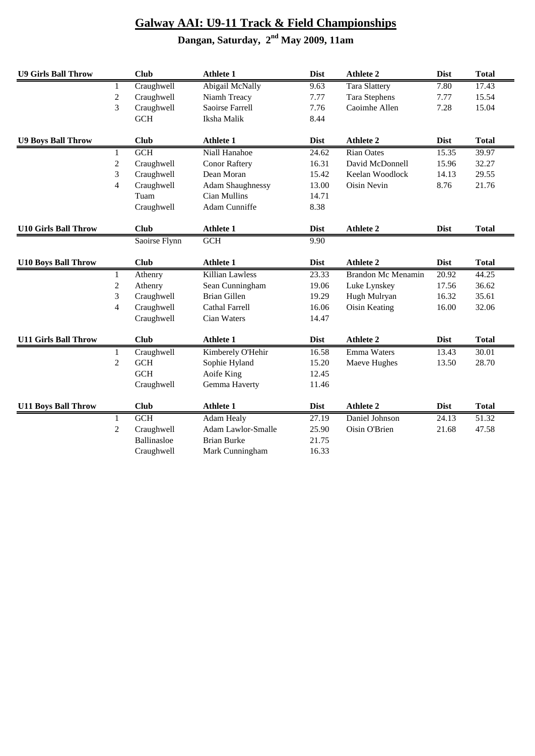| <b>U9 Girls Ball Throw</b>  |                | <b>Club</b>   | <b>Athlete 1</b>        | <b>Dist</b> | <b>Athlete 2</b>          | <b>Dist</b> | <b>Total</b> |
|-----------------------------|----------------|---------------|-------------------------|-------------|---------------------------|-------------|--------------|
|                             | 1              | Craughwell    | Abigail McNally         | 9.63        | <b>Tara Slattery</b>      | 7.80        | 17.43        |
|                             | $\overline{2}$ | Craughwell    | Niamh Treacy            | 7.77        | <b>Tara Stephens</b>      | 7.77        | 15.54        |
|                             | 3              | Craughwell    | Saoirse Farrell         | 7.76        | Caoimhe Allen             | 7.28        | 15.04        |
|                             |                | <b>GCH</b>    | Iksha Malik             | 8.44        |                           |             |              |
| <b>U9 Boys Ball Throw</b>   |                | <b>Club</b>   | <b>Athlete 1</b>        | <b>Dist</b> | <b>Athlete 2</b>          | <b>Dist</b> | <b>Total</b> |
|                             | $\mathbf{1}$   | GCH           | Niall Hanahoe           | 24.62       | <b>Rian Oates</b>         | 15.35       | 39.97        |
|                             | $\overline{2}$ | Craughwell    | <b>Conor Raftery</b>    | 16.31       | David McDonnell           | 15.96       | 32.27        |
|                             | 3              | Craughwell    | Dean Moran              | 15.42       | Keelan Woodlock           | 14.13       | 29.55        |
|                             | $\overline{4}$ | Craughwell    | <b>Adam Shaughnessy</b> | 13.00       | Oisin Nevin               | 8.76        | 21.76        |
|                             |                | Tuam          | Cian Mullins            | 14.71       |                           |             |              |
|                             |                | Craughwell    | Adam Cunniffe           | 8.38        |                           |             |              |
| <b>U10 Girls Ball Throw</b> |                | <b>Club</b>   | <b>Athlete 1</b>        | <b>Dist</b> | <b>Athlete 2</b>          | <b>Dist</b> | <b>Total</b> |
|                             |                | Saoirse Flynn | <b>GCH</b>              | 9.90        |                           |             |              |
| <b>U10 Boys Ball Throw</b>  |                | <b>Club</b>   | <b>Athlete 1</b>        | <b>Dist</b> | <b>Athlete 2</b>          | <b>Dist</b> | <b>Total</b> |
|                             | $\mathbf{1}$   | Athenry       | Killian Lawless         | 23.33       | <b>Brandon Mc Menamin</b> | 20.92       | 44.25        |
|                             | $\overline{c}$ | Athenry       | Sean Cunningham         | 19.06       | Luke Lynskey              | 17.56       | 36.62        |
|                             | 3              | Craughwell    | <b>Brian Gillen</b>     | 19.29       | Hugh Mulryan              | 16.32       | 35.61        |
|                             | 4              | Craughwell    | Cathal Farrell          | 16.06       | Oisin Keating             | 16.00       | 32.06        |
|                             |                | Craughwell    | Cian Waters             | 14.47       |                           |             |              |
| <b>U11 Girls Ball Throw</b> |                | <b>Club</b>   | <b>Athlete 1</b>        | <b>Dist</b> | <b>Athlete 2</b>          | <b>Dist</b> | <b>Total</b> |
|                             | 1              | Craughwell    | Kimberely O'Hehir       | 16.58       | Emma Waters               | 13.43       | 30.01        |
|                             | $\overline{c}$ | $GCH$         | Sophie Hyland           | 15.20       | Maeve Hughes              | 13.50       | 28.70        |
|                             |                | <b>GCH</b>    | Aoife King              | 12.45       |                           |             |              |
|                             |                | Craughwell    | Gemma Haverty           | 11.46       |                           |             |              |
| <b>U11 Boys Ball Throw</b>  |                | <b>Club</b>   | <b>Athlete 1</b>        | <b>Dist</b> | <b>Athlete 2</b>          | <b>Dist</b> | <b>Total</b> |
|                             | $\mathbf{1}$   | GCH           | Adam Healy              | 27.19       | Daniel Johnson            | 24.13       | 51.32        |
|                             | $\overline{c}$ | Craughwell    | Adam Lawlor-Smalle      | 25.90       | Oisin O'Brien             | 21.68       | 47.58        |
|                             |                | Ballinasloe   | <b>Brian Burke</b>      | 21.75       |                           |             |              |
|                             |                | Craughwell    | Mark Cunningham         | 16.33       |                           |             |              |